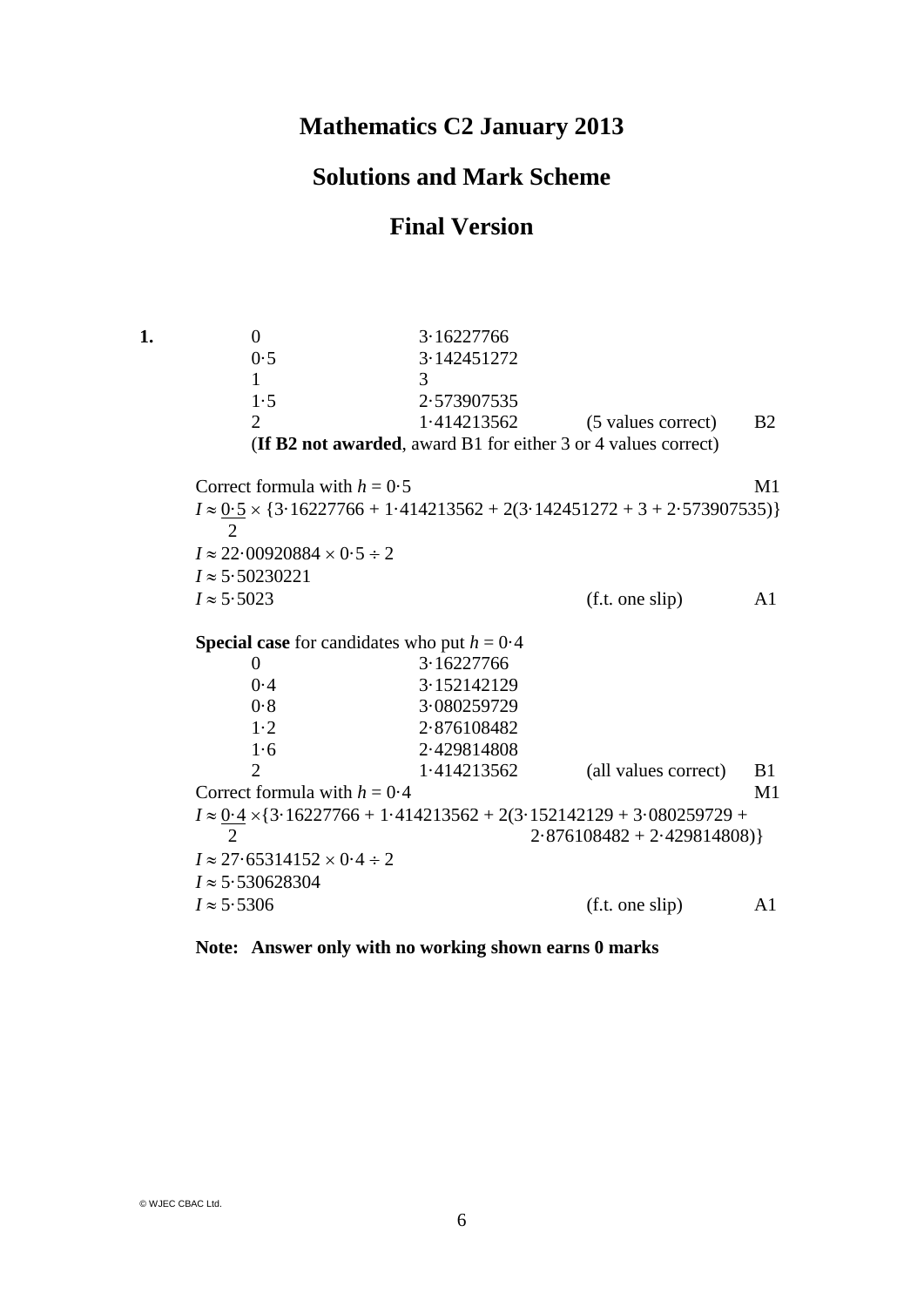## **Mathematics C2 January 2013**

## **Solutions and Mark Scheme**

## **Final Version**

**1.** 0 3·16227766 0·5 3·142451272 1 3 1·5 2·573907535 2 1·414213562 (5 values correct) B2 (**If B2 not awarded**, award B1 for either 3 or 4 values correct) Correct formula with  $h = 0.5$  M1  $I \approx 0.5 \times \{3.16227766 + 1.414213562 + 2(3.142451272 + 3 + 2.573907535)\}\$  2  $I \approx 22.00920884 \times 0.5 \div 2$  $I \approx 5.50230221$  $I \approx 5.5023$  (f.t. one slip) A1 **Special case** for candidates who put  $h = 0.4$ 0 3·16227766 0·4 3·152142129 0·8 3·080259729 1·2 2·876108482 1·6 2·429814808 2 1·414213562 (all values correct) B1 Correct formula with  $h = 0.4$  M1  $I \approx 0.4 \times \{3.16227766 + 1.414213562 + 2(3.152142129 + 3.080259729 +$ 2 2 2 376108482 + 2 429814808)}  $I \approx 27.65314152 \times 0.4 \div 2$  $I \approx 5.530628304$  $I \approx 5.5306$  (f.t. one slip) A1

## **Note: Answer only with no working shown earns 0 marks**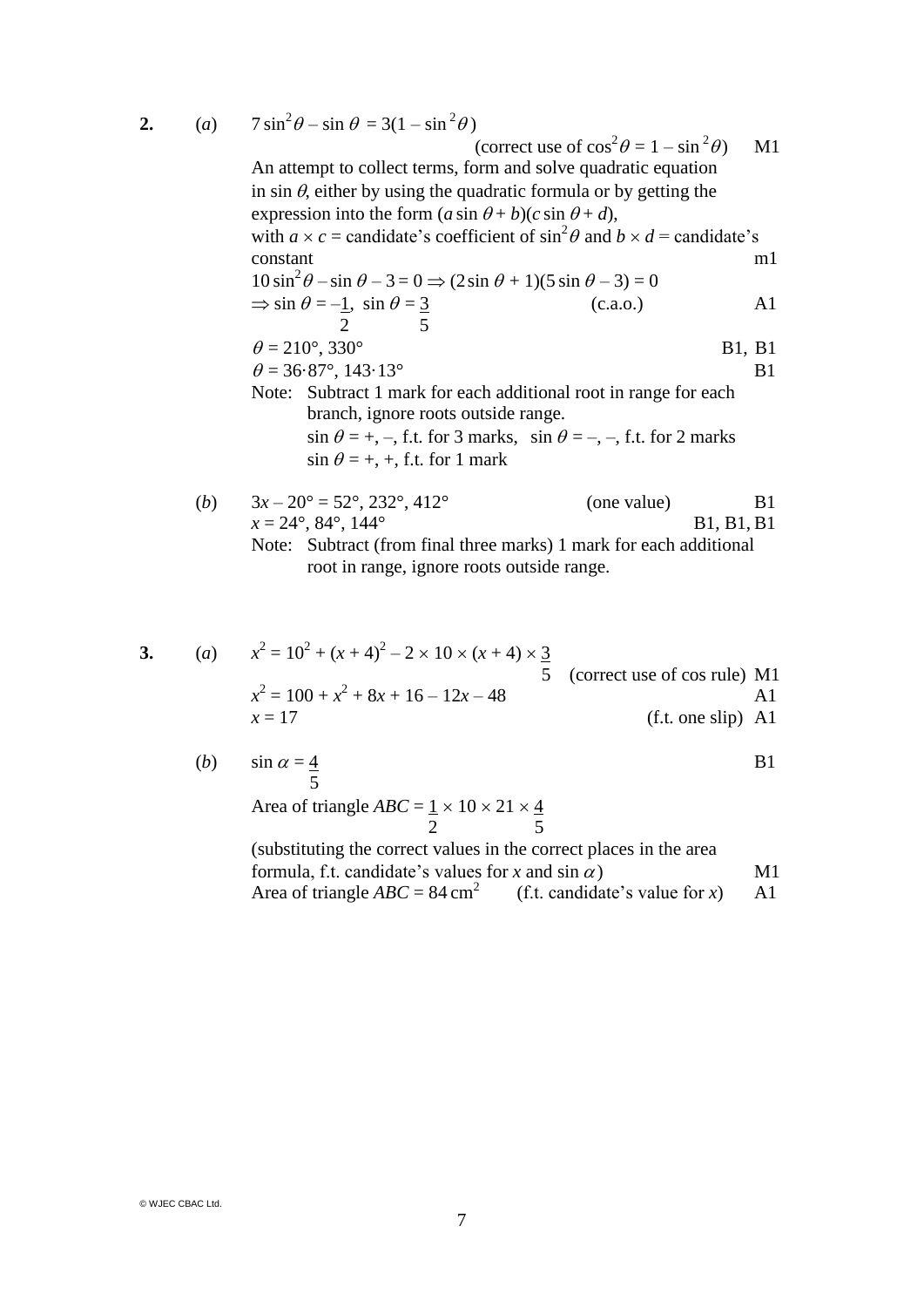**2.** (*a*)  $7 \sin^2 \theta - \sin \theta = 3(1 - \sin^2 \theta)$ 

(correct use of  $\cos^2 \theta = 1 - \sin^2 \theta$  $M<sub>1</sub>$ An attempt to collect terms, form and solve quadratic equation in sin  $\theta$ , either by using the quadratic formula or by getting the expression into the form  $(a \sin \theta + b)(c \sin \theta + d)$ , with  $a \times c$  = candidate's coefficient of  $\sin^2 \theta$  and  $b \times d$  = candidate's constant m1  $10 \sin^2 \theta - \sin \theta - 3 = 0 \Rightarrow (2 \sin \theta + 1)(5 \sin \theta - 3) = 0$  $\Rightarrow$  sin  $\theta = -1$ , sin  $\theta = 3$  (c.a.o.) A1 2 5  $\theta = 210^{\circ}, 330^{\circ}$  B1, B1  $\theta = 36.87^{\circ}, 143.13^{\circ}$  B1 Note: Subtract 1 mark for each additional root in range for each branch, ignore roots outside range.  $\sin \theta = +, -$ , f.t. for 3 marks,  $\sin \theta = -, -$ , f.t. for 2 marks  $\sin \theta = +, +,$  f.t. for 1 mark

(b) 
$$
3x - 20^\circ = 52^\circ
$$
,  $232^\circ$ ,  $412^\circ$  (one value) B1  
\n $x = 24^\circ$ ,  $84^\circ$ ,  $144^\circ$  B1, B1, B1  
\nNote: Subtract (from final three marks) 1 mark for each additional  
\nroot in range, ignore roots outside range.

3. (a) 
$$
x^2 = 10^2 + (x + 4)^2 - 2 \times 10 \times (x + 4) \times \frac{3}{5}
$$
 (correct use of cos rule) M1  
\n $x^2 = 100 + x^2 + 8x + 16 - 12x - 48$   
\n $x = 17$  (f.t. one slip) A1

(b) 
$$
\sin \alpha = \frac{4}{5}
$$
 B1

 $rac{4}{5}$ 

Area of triangle  $ABC = 1 \times 10 \times 21 \times 4$ 2 5

(substituting the correct values in the correct places in the area formula, f.t. candidate's values for *x* and  $\sin \alpha$  M1 Area of triangle  $ABC = 84 \text{ cm}^2$ (f.t. candidate's value for  $x$ ) A1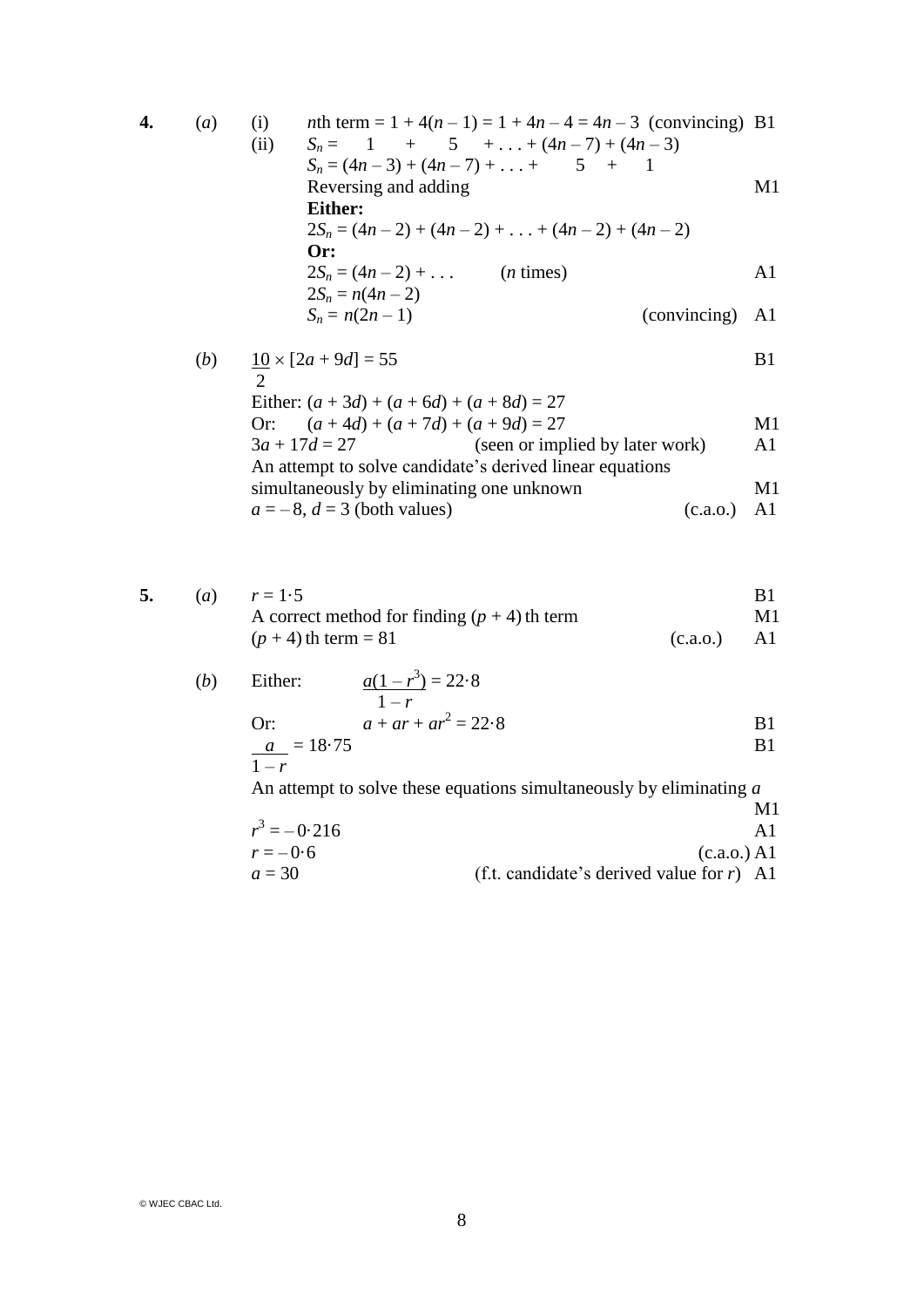4. (a) (i) *n*th term = 1 + 4(n - 1) = 1 + 4n - 4 = 4n - 3 (convincing) B1  
\n(ii) 
$$
S_n = 1 + 5 + ... + (4n - 7) + (4n - 3)
$$
  
\n $S_n = (4n - 3) + (4n - 7) + ... + 5 + 1$   
\nReversing and adding  
\n**Either:**  
\n $2S_n = (4n - 2) + (4n - 2) + ... + (4n - 2) + (4n - 2)$   
\n**Or:**  
\n $2S_n = (4n - 2) + ...$  (*n* times)  
\n $2S_n = n(4n - 2)$   
\n $S_n = n(2n - 1)$  (convincing) A1

(b) 
$$
\frac{10}{2} \times [2a + 9d] = 55
$$
 B1

| Either: $(a + 3d) + (a + 6d) + (a + 8d) = 27$            |          |    |  |  |  |
|----------------------------------------------------------|----------|----|--|--|--|
| Or: $(a+4d) + (a+7d) + (a+9d) = 27$                      |          | M1 |  |  |  |
| $3a + 17d = 27$<br>(seen or implied by later work)       |          | A1 |  |  |  |
| An attempt to solve candidate's derived linear equations |          |    |  |  |  |
| simultaneously by eliminating one unknown                |          | M1 |  |  |  |
| $a = -8$ , $d = 3$ (both values)                         | (c.a.o.) | A1 |  |  |  |

|  | ( <i>a</i> ) $r = 1.5$                         |               |    |
|--|------------------------------------------------|---------------|----|
|  | A correct method for finding $(p + 4)$ th term |               | M1 |
|  | $(p+4)$ th term = 81                           | $(c.a.o.)$ Al |    |

(b) Either: 
$$
\frac{a(1 - r^3)}{1 - r} = 22.8
$$
  
Or: 
$$
a + ar + ar^2 = 22.8
$$
  

$$
\frac{a}{1 - r} = 18.75
$$
  
B1

An attempt to solve these equations simultaneously by eliminating *a*

$$
r3 = -0.216
$$
 
$$
r = -0.6
$$
 
$$
a = 30
$$
 (c.a.o.) A1   
 
$$
A1
$$
 (c.a.o.) A1   
 (c.a.o.) A1   
 (c.a.o.) A2   
 (f.t. candidate's derived value for *r*) A1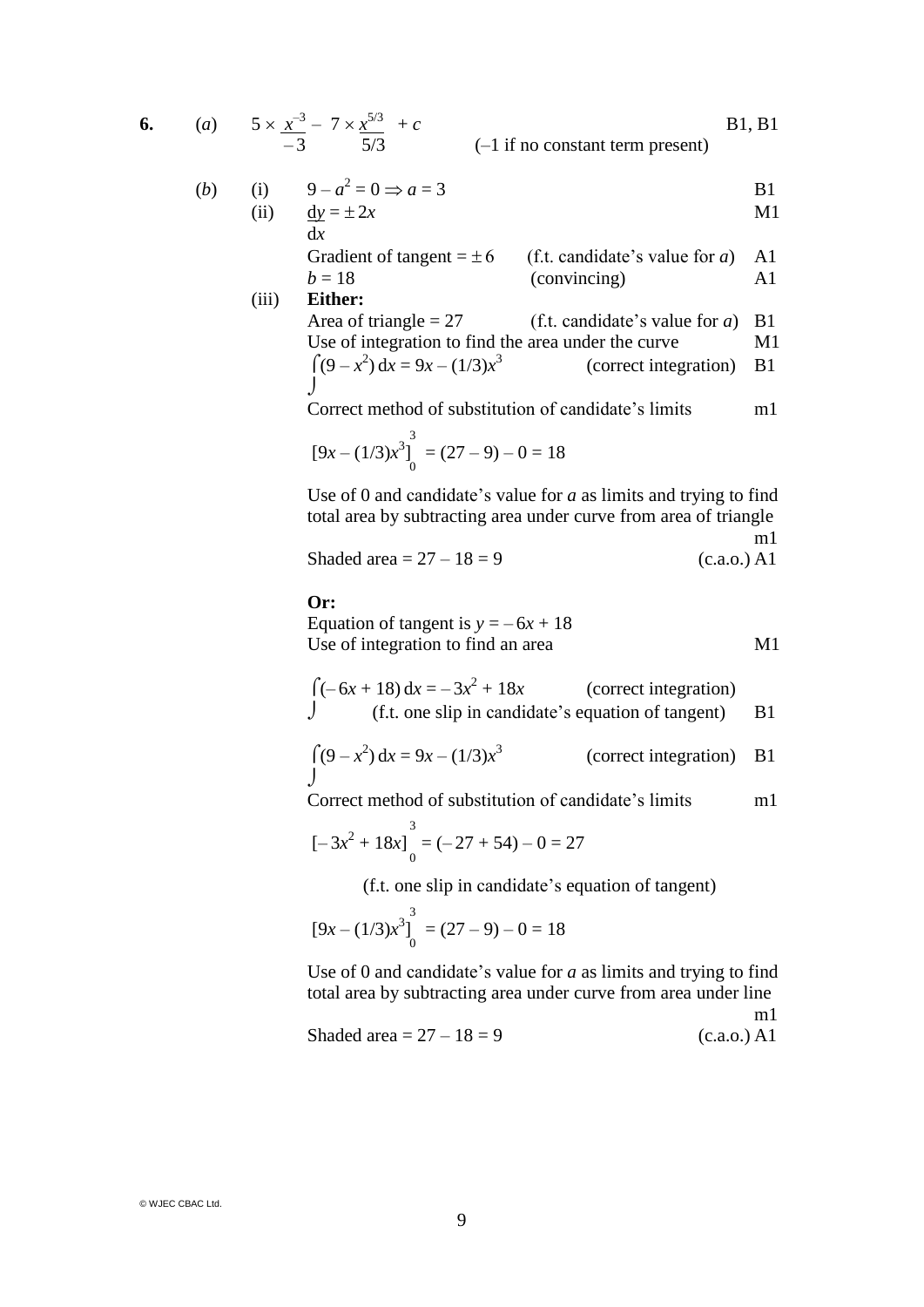6. (a) 
$$
5 \times \frac{x^{-3}}{-3} - 7 \times \frac{x^{5/3}}{5/3} + c
$$
 [B1, B1]

(b) (i) 
$$
9 - a^2 = 0 \Rightarrow a = 3
$$
 B1

(ii) 
$$
\frac{dy}{dx} = \pm 2x
$$

Gradient of tangent = 
$$
\pm 6
$$
 (f.t. candidate's value for *a*) A1  
(convincing) A1

(iii) **Either:**  
\nArea of triangle = 27 (f.t. candidate's value for a) B1  
\nUse of integration to find the area under the curve M1  
\n
$$
\int (9 - x^2) dx = 9x - (1/3)x^3
$$
 (correct integration) B1

Correct method of substitution of candidate's limits m1

$$
[9x - (1/3)x^{3}]_{0}^{3} = (27 - 9) - 0 = 18
$$

Use of 0 and candidate's value for *a* as limits and trying to find total area by subtracting area under curve from area of triangle m1

Shaded area = 
$$
27 - 18 = 9
$$
 (c.a.o.) A1

**Or:**

Equation of tangent is  $y = -6x + 18$ Use of integration to find an area M1

$$
\int (-6x + 18) dx = -3x2 + 18x
$$
 (correct integration)  
 
$$
\int (t.t. one slip in candidate's equation of tangent)
$$
 B1

$$
\int (9 - x^2) dx = 9x - (1/3)x^3
$$
 (correct integration) B1

Correct method of substitution of candidate's limits m1

$$
[-3x^2 + 18x]_0^3 = (-27 + 54) - 0 = 27
$$

(f.t. one slip in candidate's equation of tangent)

$$
[9x - (1/3)x^{3}]_{0}^{3} = (27 - 9) - 0 = 18
$$

Use of 0 and candidate's value for *a* as limits and trying to find total area by subtracting area under curve from area under line

Shaded area = 
$$
27 - 18 = 9
$$
 (c.a.o.) A1

m1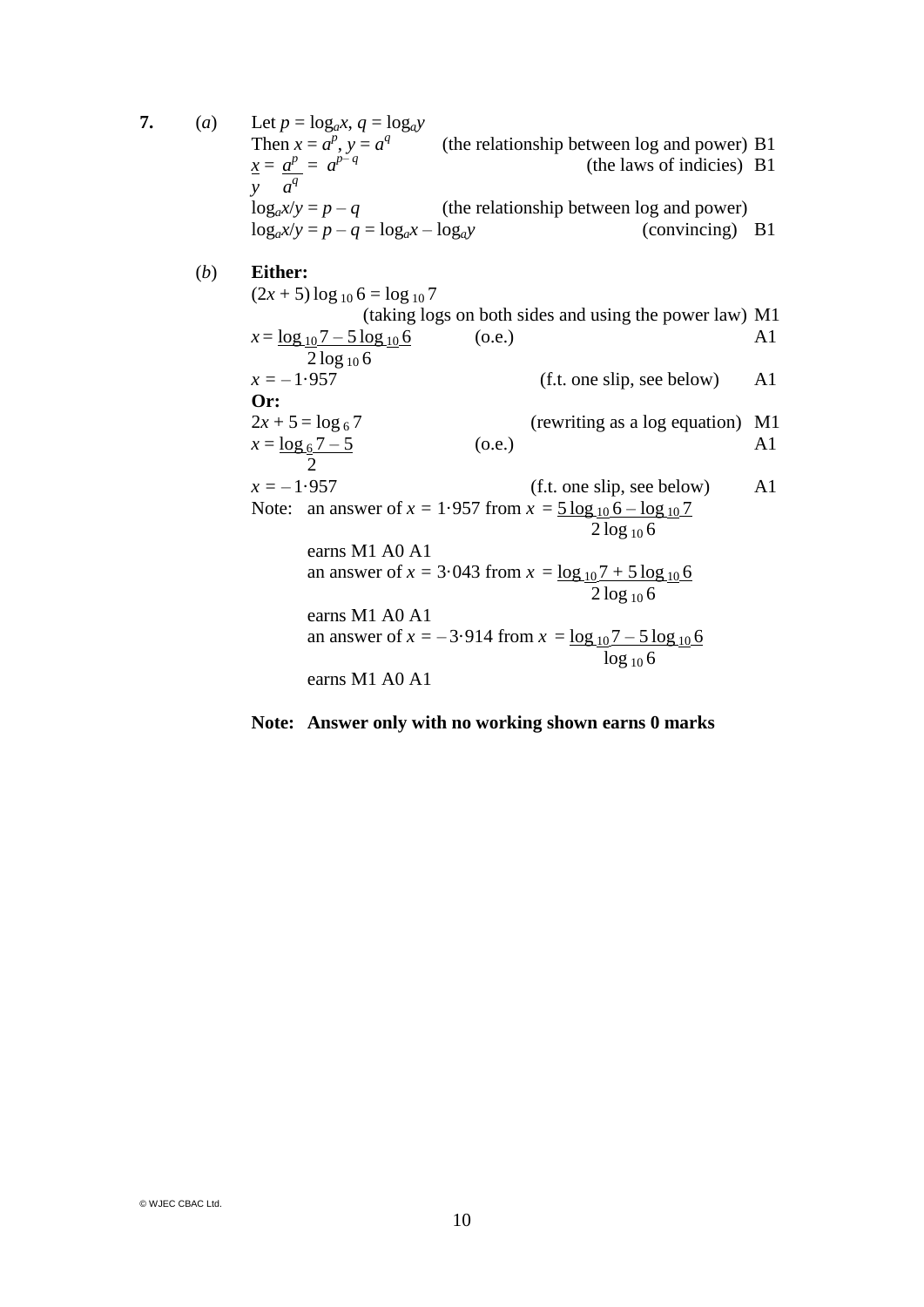7. (*a*) Let  $p = log_a x$ ,  $q = log_a y$ Then  $x = a^p$ ,  $y = a^q$  (the relationship between log and power) B1  $x = a^p = a$ (the laws of indicies) B1  $\overline{y}$   $\overline{a}$ <sup>q</sup>  $log_a x/y = p - q$  (the relationship between log and power)  $\log_a x/y = p - q = \log_a x - \log_a y$  (convincing) B1 (*b*) **Either:**  $(2x + 5) \log_{10} 6 = \log_{10} 7$ (taking logs on both sides and using the power law) M1  $x = \log_{10} 7 - 5 \log_{10} 6$  (o.e.) A1  $2 log_{10} 6$  $x = -1.957$  (f.t. one slip, see below) A1 **Or:**  $2x + 5 = \log_6 7$  (rewriting as a log equation) M1  $x = \log_6 7 - 5$  (o.e.) A1 2  $x = -1.957$  (f.t. one slip, see below) A1 Note: an answer of  $x = 1.957$  from  $x = 5 \log_{10} 6 - \log_{10} 7$  $2 log_{10} 6$ earns M1 A0 A1 an answer of  $x = 3.043$  from  $x = \log_{10} 7 + 5 \log_{10} 6$  $\frac{6}{2 \log_{10} 6}$ earns M1 A0 A1 an answer of  $x = -3.914$  from  $x = \log_{10} 7 - 5 \log_{10} 6$  $\log_{10} 6$ earns M1 A0 A1

**Note: Answer only with no working shown earns 0 marks**